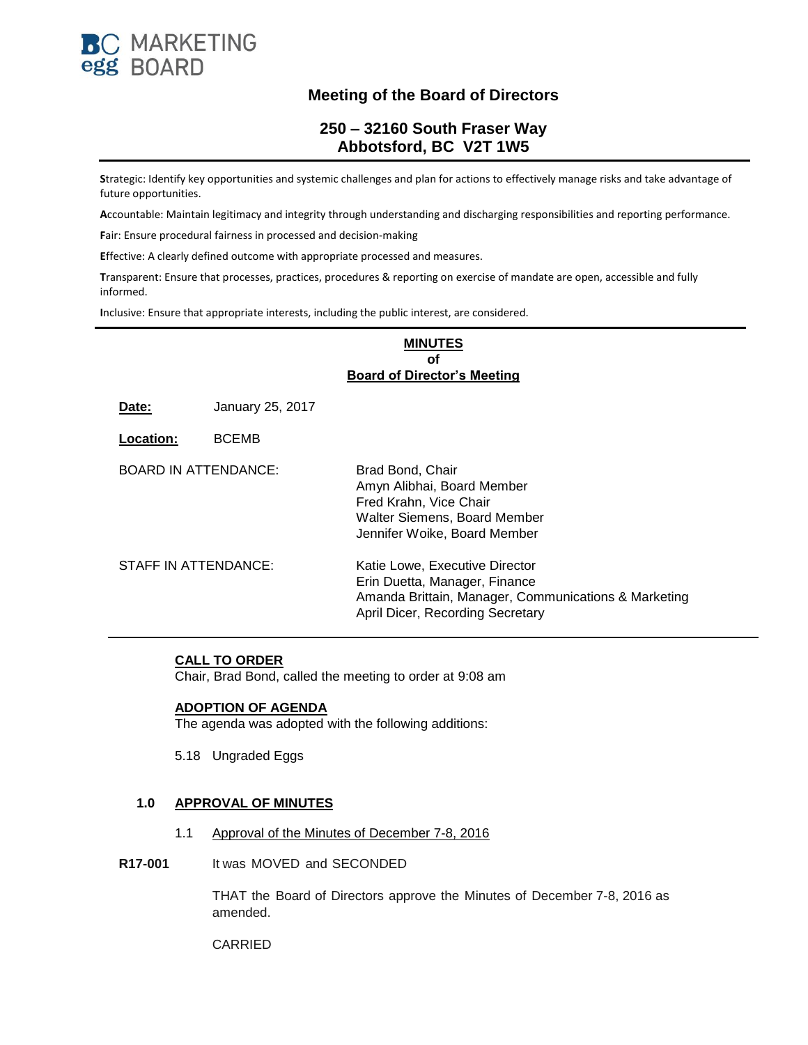

# **Meeting of the Board of Directors**

# **250 – 32160 South Fraser Way Abbotsford, BC V2T 1W5**

**S**trategic: Identify key opportunities and systemic challenges and plan for actions to effectively manage risks and take advantage of future opportunities.

**A**ccountable: Maintain legitimacy and integrity through understanding and discharging responsibilities and reporting performance.

**F**air: Ensure procedural fairness in processed and decision-making

**E**ffective: A clearly defined outcome with appropriate processed and measures.

**T**ransparent: Ensure that processes, practices, procedures & reporting on exercise of mandate are open, accessible and fully informed.

**I**nclusive: Ensure that appropriate interests, including the public interest, are considered.

#### **MINUTES of Board of Director's Meeting**

**Date:** January 25, 2017

**Location:** BCEMB

| BOARD IN ATTENDANCE: | Brad Bond, Chair<br>Amyn Alibhai, Board Member<br>Fred Krahn, Vice Chair<br>Walter Siemens, Board Member<br>Jennifer Woike, Board Member                    |
|----------------------|-------------------------------------------------------------------------------------------------------------------------------------------------------------|
| STAFF IN ATTENDANCE: | Katie Lowe, Executive Director<br>Erin Duetta, Manager, Finance<br>Amanda Brittain, Manager, Communications & Marketing<br>April Dicer, Recording Secretary |

#### **CALL TO ORDER**

Chair, Brad Bond, called the meeting to order at 9:08 am

#### **ADOPTION OF AGENDA**

The agenda was adopted with the following additions:

5.18 Ungraded Eggs

#### **1.0 APPROVAL OF MINUTES**

- 1.1 Approval of the Minutes of December 7-8, 2016
- **R17-001** It was MOVED and SECONDED

THAT the Board of Directors approve the Minutes of December 7-8, 2016 as amended.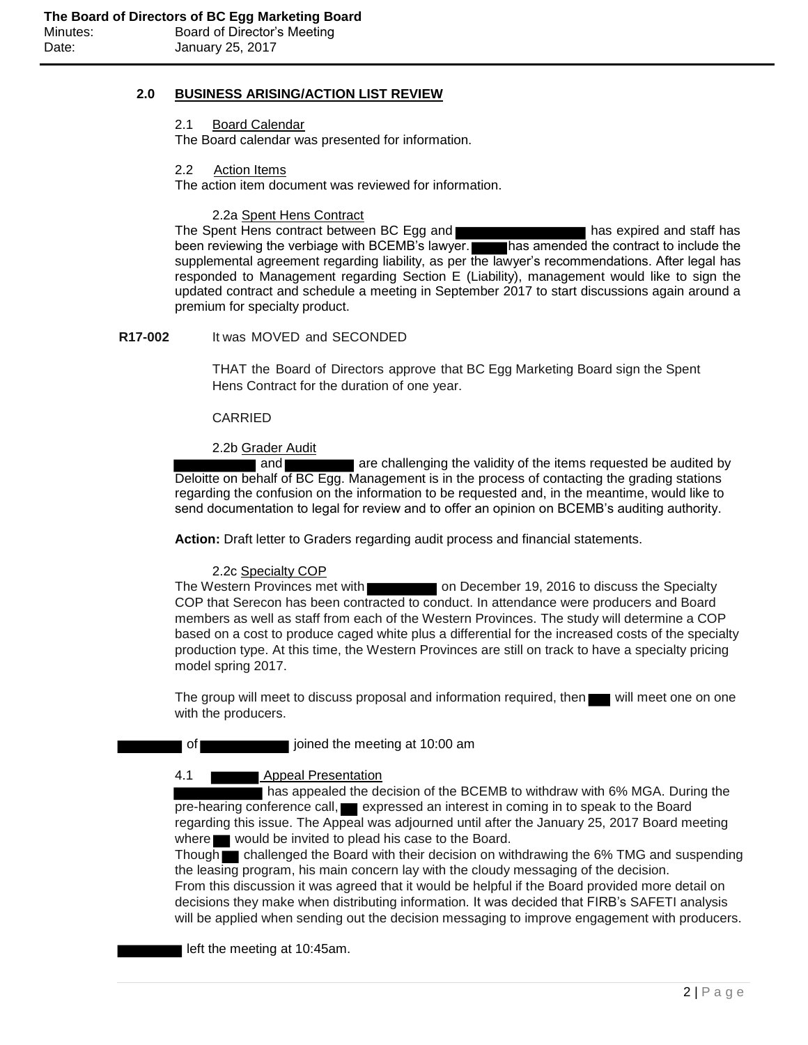# **2.0 BUSINESS ARISING/ACTION LIST REVIEW**

2.1 Board Calendar The Board calendar was presented for information.

2.2 Action Items

The action item document was reviewed for information.

2.2a Spent Hens Contract

The Spent Hens contract between BC Egg and **has expired and staff has expired and staff has** been reviewing the verbiage with BCEMB's lawyer. has amended the contract to include the supplemental agreement regarding liability, as per the lawyer's recommendations. After legal has responded to Management regarding Section E (Liability), management would like to sign the updated contract and schedule a meeting in September 2017 to start discussions again around a premium for specialty product.

### **R17-002** It was MOVED and SECONDED

THAT the Board of Directors approve that BC Egg Marketing Board sign the Spent Hens Contract for the duration of one year.

CARRIED

#### 2.2b Grader Audit

and **are challenging the validity of the items requested be audited by** Deloitte on behalf of BC Egg. Management is in the process of contacting the grading stations regarding the confusion on the information to be requested and, in the meantime, would like to send documentation to legal for review and to offer an opinion on BCEMB's auditing authority.

**Action:** Draft letter to Graders regarding audit process and financial statements.

#### 2.2c Specialty COP

The Western Provinces met with **on December 19, 2016** to discuss the Specialty COP that Serecon has been contracted to conduct. In attendance were producers and Board members as well as staff from each of the Western Provinces. The study will determine a COP based on a cost to produce caged white plus a differential for the increased costs of the specialty production type. At this time, the Western Provinces are still on track to have a specialty pricing model spring 2017.

The group will meet to discuss proposal and information required, then will meet one on one with the producers.

of interesting at 10:00 am joined the meeting at 10:00 am

#### 4.1 Appeal Presentation

has appealed the decision of the BCEMB to withdraw with 6% MGA. During the pre-hearing conference call, expressed an interest in coming in to speak to the Board regarding this issue. The Appeal was adjourned until after the January 25, 2017 Board meeting where **would be invited to plead his case to the Board.** 

Though **challenged the Board with their decision on withdrawing the 6% TMG and suspending** the leasing program, his main concern lay with the cloudy messaging of the decision. From this discussion it was agreed that it would be helpful if the Board provided more detail on decisions they make when distributing information. It was decided that FIRB's SAFETI analysis will be applied when sending out the decision messaging to improve engagement with producers.

left the meeting at 10:45am.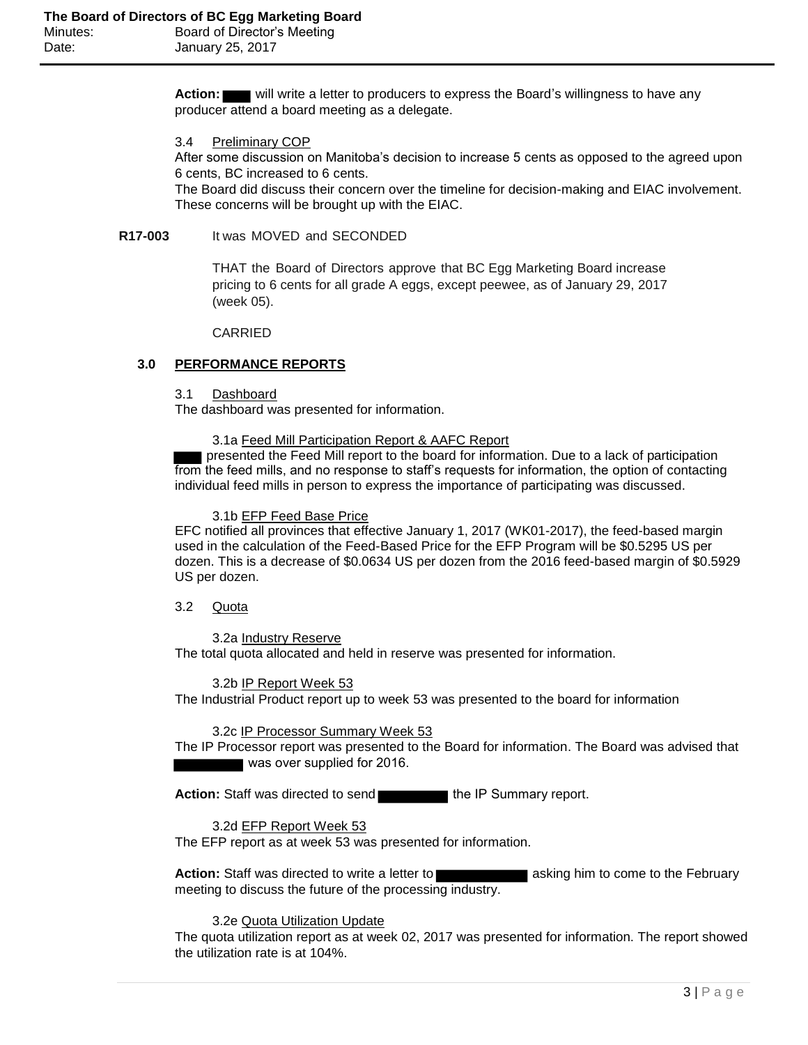**Action:** will write a letter to producers to express the Board's willingness to have any producer attend a board meeting as a delegate.

3.4 Preliminary COP

After some discussion on Manitoba's decision to increase 5 cents as opposed to the agreed upon 6 cents, BC increased to 6 cents.

The Board did discuss their concern over the timeline for decision-making and EIAC involvement. These concerns will be brought up with the EIAC.

#### **R17-003** It was MOVED and SECONDED

THAT the Board of Directors approve that BC Egg Marketing Board increase pricing to 6 cents for all grade A eggs, except peewee, as of January 29, 2017 (week 05).

CARRIED

#### **3.0 PERFORMANCE REPORTS**

#### 3.1 Dashboard

The dashboard was presented for information.

#### 3.1a Feed Mill Participation Report & AAFC Report

 presented the Feed Mill report to the board for information. Due to a lack of participation from the feed mills, and no response to staff's requests for information, the option of contacting individual feed mills in person to express the importance of participating was discussed.

#### 3.1b EFP Feed Base Price

EFC notified all provinces that effective January 1, 2017 (WK01-2017), the feed-based margin used in the calculation of the Feed-Based Price for the EFP Program will be \$0.5295 US per dozen. This is a decrease of \$0.0634 US per dozen from the 2016 feed-based margin of \$0.5929 US per dozen.

3.2 Quota

3.2a Industry Reserve The total quota allocated and held in reserve was presented for information.

3.2b IP Report Week 53

The Industrial Product report up to week 53 was presented to the board for information

#### 3.2c IP Processor Summary Week 53

The IP Processor report was presented to the Board for information. The Board was advised that was over supplied for 2016.

Action: Staff was directed to send the IP Summary report.

#### 3.2d EFP Report Week 53

The EFP report as at week 53 was presented for information.

**Action:** Staff was directed to write a letter to **and the state of a** asking him to come to the February meeting to discuss the future of the processing industry.

#### 3.2e Quota Utilization Update

The quota utilization report as at week 02, 2017 was presented for information. The report showed the utilization rate is at 104%.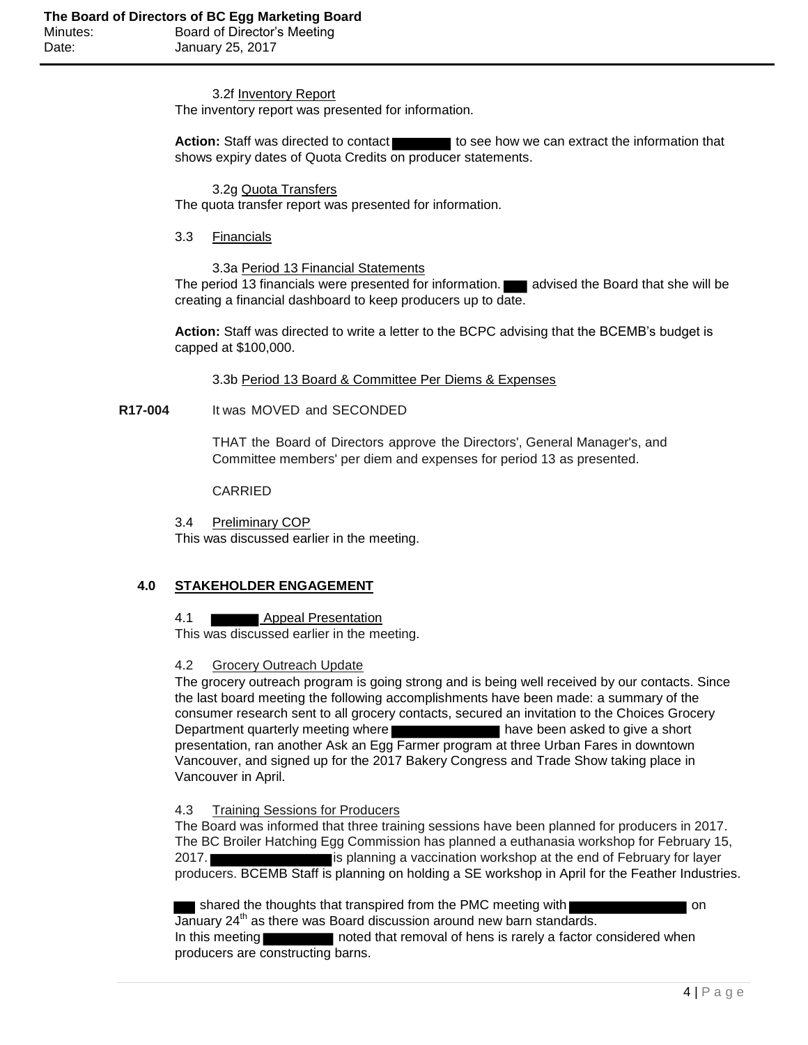3.2f Inventory Report The inventory report was presented for information.

**Action:** Staff was directed to contact to see how we can extract the information that shows expiry dates of Quota Credits on producer statements.

3.2g Quota Transfers The quota transfer report was presented for information.

3.3 Financials

3.3a Period 13 Financial Statements

The period 13 financials were presented for information. **All and incredited the Board that she will be** creating a financial dashboard to keep producers up to date.

**Action:** Staff was directed to write a letter to the BCPC advising that the BCEMB's budget is capped at \$100,000.

3.3b Period 13 Board & Committee Per Diems & Expenses

**R17-004** It was MOVED and SECONDED

THAT the Board of Directors approve the Directors', General Manager's, and Committee members' per diem and expenses for period 13 as presented.

CARRIED

3.4 Preliminary COP This was discussed earlier in the meeting.

# **4.0 STAKEHOLDER ENGAGEMENT**

4.1 Appeal Presentation

This was discussed earlier in the meeting.

# 4.2 Grocery Outreach Update

The grocery outreach program is going strong and is being well received by our contacts. Since the last board meeting the following accomplishments have been made: a summary of the consumer research sent to all grocery contacts, secured an invitation to the Choices Grocery Department quarterly meeting where **have been asked to give a short** presentation, ran another Ask an Egg Farmer program at three Urban Fares in downtown Vancouver, and signed up for the 2017 Bakery Congress and Trade Show taking place in Vancouver in April.

# 4.3 Training Sessions for Producers

The Board was informed that three training sessions have been planned for producers in 2017. The BC Broiler Hatching Egg Commission has planned a euthanasia workshop for February 15, 2017. **is planning a vaccination workshop at the end of February for layer** producers. BCEMB Staff is planning on holding a SE workshop in April for the Feather Industries.

**shared the thoughts that transpired from the PMC meeting with summer way on the PMC meeting with strange on** January  $24<sup>th</sup>$  as there was Board discussion around new barn standards. In this meeting noted that removal of hens is rarely a factor considered when producers are constructing barns.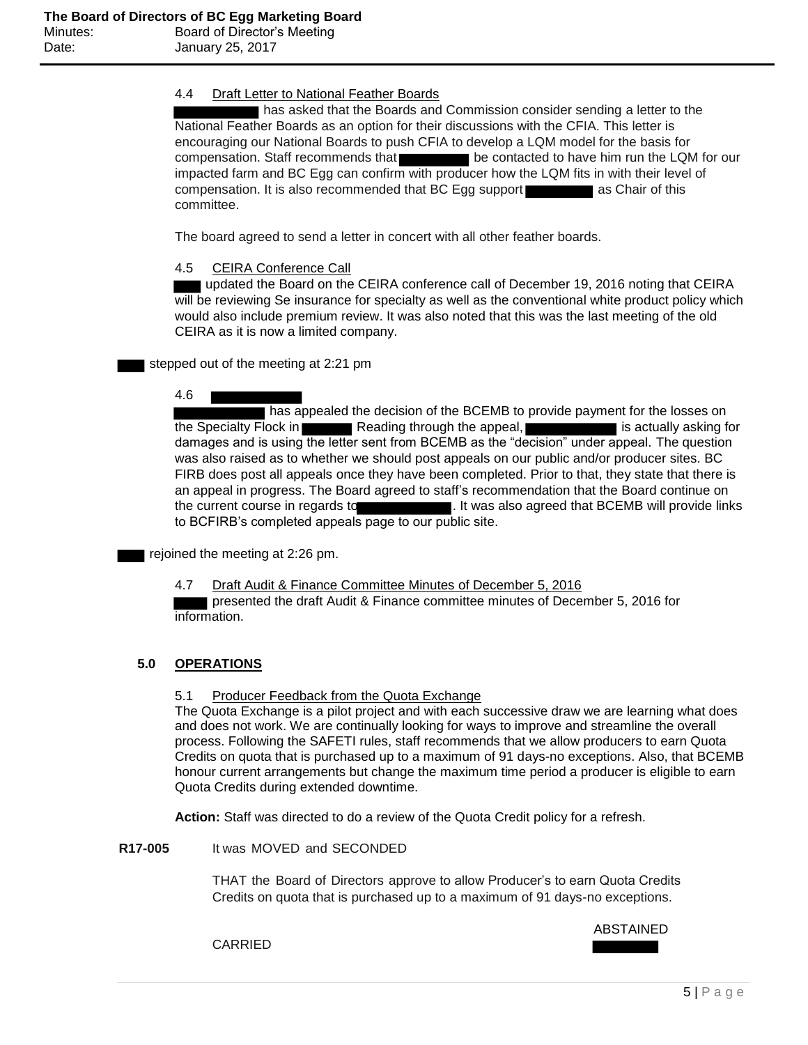## 4.4 Draft Letter to National Feather Boards

has asked that the Boards and Commission consider sending a letter to the National Feather Boards as an option for their discussions with the CFIA. This letter is encouraging our National Boards to push CFIA to develop a LQM model for the basis for compensation. Staff recommends that be contacted to have him run the LQM for our impacted farm and BC Egg can confirm with producer how the LQM fits in with their level of compensation. It is also recommended that BC Egg support as Chair of this committee.

The board agreed to send a letter in concert with all other feather boards.

## 4.5 CEIRA Conference Call

 updated the Board on the CEIRA conference call of December 19, 2016 noting that CEIRA will be reviewing Se insurance for specialty as well as the conventional white product policy which would also include premium review. It was also noted that this was the last meeting of the old CEIRA as it is now a limited company.

stepped out of the meeting at 2:21 pm

#### 4.6

**has appealed the decision of the BCEMB to provide payment for the losses on** the Specialty Flock in **Reading through the appeal,** is actually asking for damages and is using the letter sent from BCEMB as the "decision" under appeal. The question was also raised as to whether we should post appeals on our public and/or producer sites. BC FIRB does post all appeals once they have been completed. Prior to that, they state that there is an appeal in progress. The Board agreed to staff's recommendation that the Board continue on the current course in regards to . It was also agreed that BCEMB will provide links to BCFIRB's completed appeals page to our public site.

rejoined the meeting at 2:26 pm.

4.7 Draft Audit & Finance Committee Minutes of December 5, 2016 presented the draft Audit & Finance committee minutes of December 5, 2016 for

information.

# **5.0 OPERATIONS**

## 5.1 Producer Feedback from the Quota Exchange

The Quota Exchange is a pilot project and with each successive draw we are learning what does and does not work. We are continually looking for ways to improve and streamline the overall process. Following the SAFETI rules, staff recommends that we allow producers to earn Quota Credits on quota that is purchased up to a maximum of 91 days-no exceptions. Also, that BCEMB honour current arrangements but change the maximum time period a producer is eligible to earn Quota Credits during extended downtime.

**Action:** Staff was directed to do a review of the Quota Credit policy for a refresh.

**R17-005** It was MOVED and SECONDED

THAT the Board of Directors approve to allow Producer's to earn Quota Credits Credits on quota that is purchased up to a maximum of 91 days-no exceptions.

ABSTAINED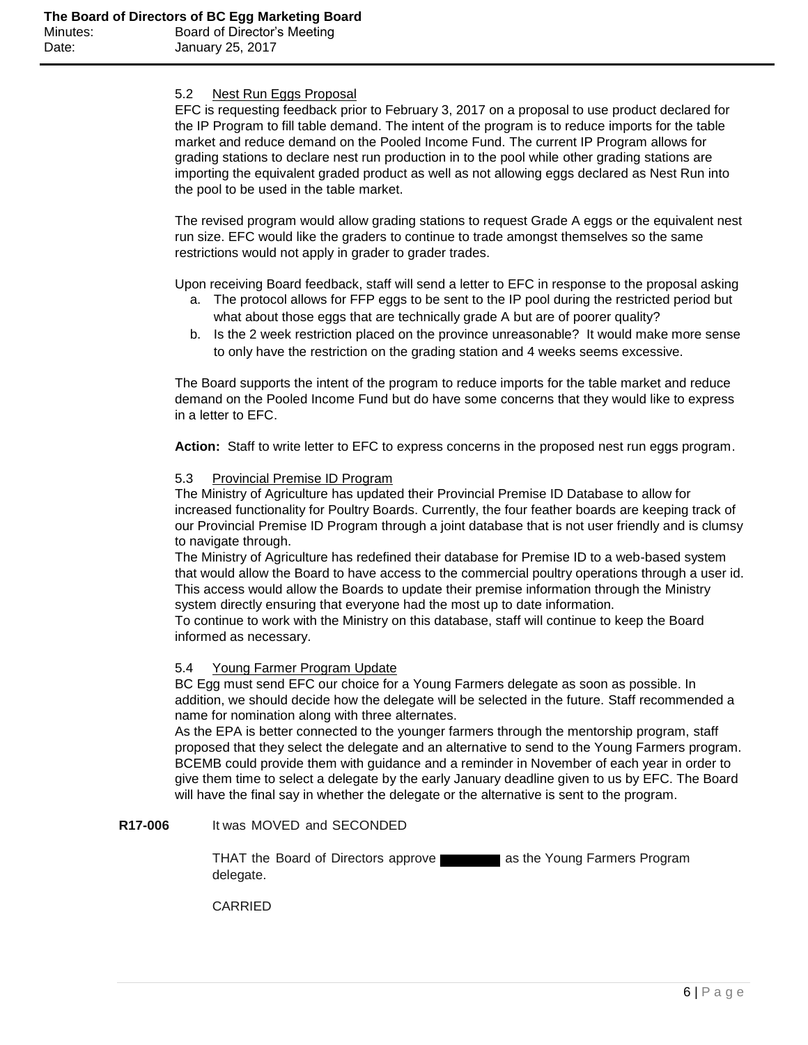## 5.2 Nest Run Eggs Proposal

EFC is requesting feedback prior to February 3, 2017 on a proposal to use product declared for the IP Program to fill table demand. The intent of the program is to reduce imports for the table market and reduce demand on the Pooled Income Fund. The current IP Program allows for grading stations to declare nest run production in to the pool while other grading stations are importing the equivalent graded product as well as not allowing eggs declared as Nest Run into the pool to be used in the table market.

The revised program would allow grading stations to request Grade A eggs or the equivalent nest run size. EFC would like the graders to continue to trade amongst themselves so the same restrictions would not apply in grader to grader trades.

Upon receiving Board feedback, staff will send a letter to EFC in response to the proposal asking

- a. The protocol allows for FFP eggs to be sent to the IP pool during the restricted period but what about those eggs that are technically grade A but are of poorer quality?
- b. Is the 2 week restriction placed on the province unreasonable? It would make more sense to only have the restriction on the grading station and 4 weeks seems excessive.

The Board supports the intent of the program to reduce imports for the table market and reduce demand on the Pooled Income Fund but do have some concerns that they would like to express in a letter to EFC.

**Action:** Staff to write letter to EFC to express concerns in the proposed nest run eggs program.

#### 5.3 Provincial Premise ID Program

The Ministry of Agriculture has updated their Provincial Premise ID Database to allow for increased functionality for Poultry Boards. Currently, the four feather boards are keeping track of our Provincial Premise ID Program through a joint database that is not user friendly and is clumsy to navigate through.

The Ministry of Agriculture has redefined their database for Premise ID to a web-based system that would allow the Board to have access to the commercial poultry operations through a user id. This access would allow the Boards to update their premise information through the Ministry system directly ensuring that everyone had the most up to date information.

To continue to work with the Ministry on this database, staff will continue to keep the Board informed as necessary.

#### 5.4 Young Farmer Program Update

BC Egg must send EFC our choice for a Young Farmers delegate as soon as possible. In addition, we should decide how the delegate will be selected in the future. Staff recommended a name for nomination along with three alternates.

As the EPA is better connected to the younger farmers through the mentorship program, staff proposed that they select the delegate and an alternative to send to the Young Farmers program. BCEMB could provide them with guidance and a reminder in November of each year in order to give them time to select a delegate by the early January deadline given to us by EFC. The Board will have the final say in whether the delegate or the alternative is sent to the program.

#### **R17-006** It was MOVED and SECONDED

THAT the Board of Directors approve as the Young Farmers Program delegate.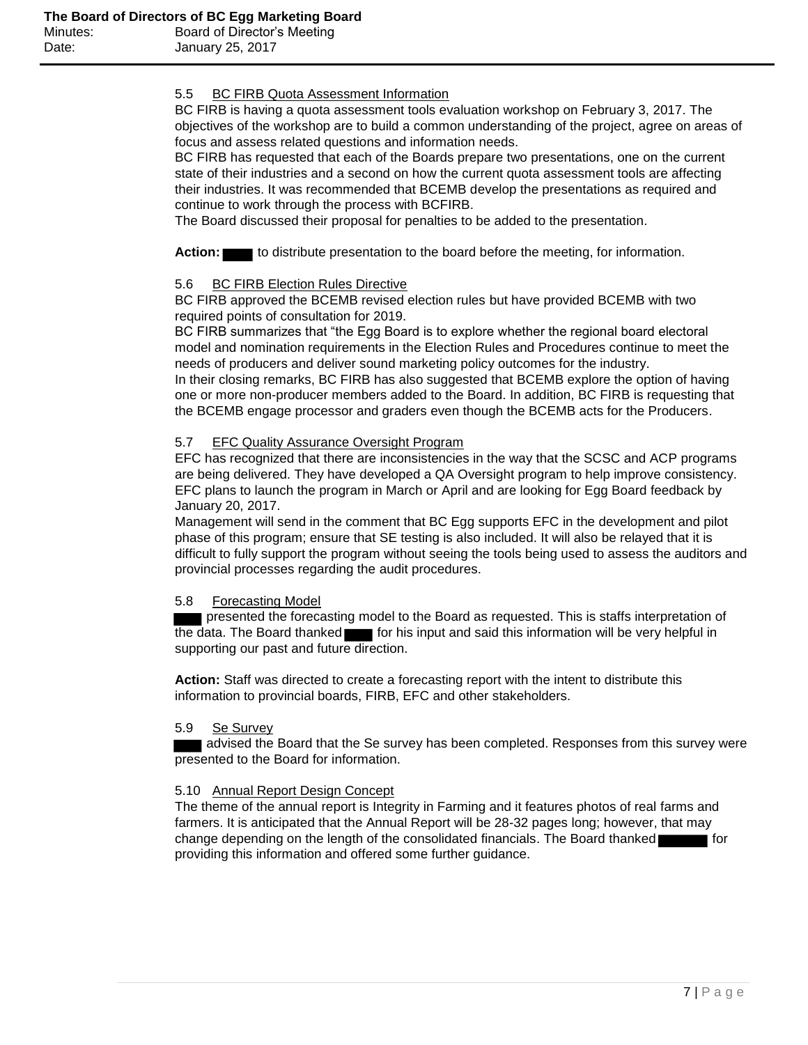## 5.5 BC FIRB Quota Assessment Information

BC FIRB is having a quota assessment tools evaluation workshop on February 3, 2017. The objectives of the workshop are to build a common understanding of the project, agree on areas of focus and assess related questions and information needs.

BC FIRB has requested that each of the Boards prepare two presentations, one on the current state of their industries and a second on how the current quota assessment tools are affecting their industries. It was recommended that BCEMB develop the presentations as required and continue to work through the process with BCFIRB.

The Board discussed their proposal for penalties to be added to the presentation.

Action: to distribute presentation to the board before the meeting, for information.

## 5.6 BC FIRB Election Rules Directive

BC FIRB approved the BCEMB revised election rules but have provided BCEMB with two required points of consultation for 2019.

BC FIRB summarizes that "the Egg Board is to explore whether the regional board electoral model and nomination requirements in the Election Rules and Procedures continue to meet the needs of producers and deliver sound marketing policy outcomes for the industry.

In their closing remarks, BC FIRB has also suggested that BCEMB explore the option of having one or more non-producer members added to the Board. In addition, BC FIRB is requesting that the BCEMB engage processor and graders even though the BCEMB acts for the Producers.

## 5.7 EFC Quality Assurance Oversight Program

EFC has recognized that there are inconsistencies in the way that the SCSC and ACP programs are being delivered. They have developed a QA Oversight program to help improve consistency. EFC plans to launch the program in March or April and are looking for Egg Board feedback by January 20, 2017.

Management will send in the comment that BC Egg supports EFC in the development and pilot phase of this program; ensure that SE testing is also included. It will also be relayed that it is difficult to fully support the program without seeing the tools being used to assess the auditors and provincial processes regarding the audit procedures.

#### 5.8 Forecasting Model

presented the forecasting model to the Board as requested. This is staffs interpretation of the data. The Board thanked **for his input and said this information will be very helpful in** supporting our past and future direction.

**Action:** Staff was directed to create a forecasting report with the intent to distribute this information to provincial boards, FIRB, EFC and other stakeholders.

#### 5.9 Se Survey

 advised the Board that the Se survey has been completed. Responses from this survey were presented to the Board for information.

#### 5.10 Annual Report Design Concept

The theme of the annual report is Integrity in Farming and it features photos of real farms and farmers. It is anticipated that the Annual Report will be 28-32 pages long; however, that may change depending on the length of the consolidated financials. The Board thanked  $\blacksquare$  for providing this information and offered some further guidance.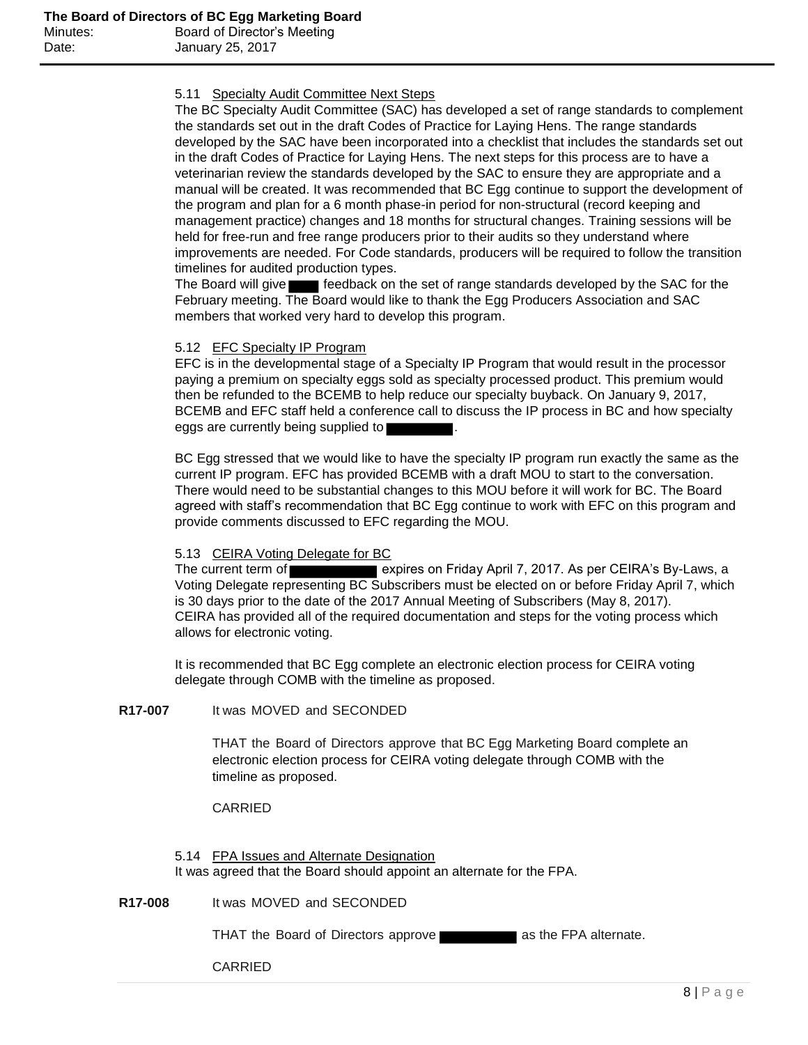## 5.11 Specialty Audit Committee Next Steps

The BC Specialty Audit Committee (SAC) has developed a set of range standards to complement the standards set out in the draft Codes of Practice for Laying Hens. The range standards developed by the SAC have been incorporated into a checklist that includes the standards set out in the draft Codes of Practice for Laying Hens. The next steps for this process are to have a veterinarian review the standards developed by the SAC to ensure they are appropriate and a manual will be created. It was recommended that BC Egg continue to support the development of the program and plan for a 6 month phase-in period for non-structural (record keeping and management practice) changes and 18 months for structural changes. Training sessions will be held for free-run and free range producers prior to their audits so they understand where improvements are needed. For Code standards, producers will be required to follow the transition timelines for audited production types.

The Board will give **Feedback** on the set of range standards developed by the SAC for the February meeting. The Board would like to thank the Egg Producers Association and SAC members that worked very hard to develop this program.

## 5.12 EFC Specialty IP Program

EFC is in the developmental stage of a Specialty IP Program that would result in the processor paying a premium on specialty eggs sold as specialty processed product. This premium would then be refunded to the BCEMB to help reduce our specialty buyback. On January 9, 2017, BCEMB and EFC staff held a conference call to discuss the IP process in BC and how specialty eggs are currently being supplied to

BC Egg stressed that we would like to have the specialty IP program run exactly the same as the current IP program. EFC has provided BCEMB with a draft MOU to start to the conversation. There would need to be substantial changes to this MOU before it will work for BC. The Board agreed with staff's recommendation that BC Egg continue to work with EFC on this program and provide comments discussed to EFC regarding the MOU.

#### 5.13 CEIRA Voting Delegate for BC

The current term of expires on Friday April 7, 2017. As per CEIRA's By-Laws, a Voting Delegate representing BC Subscribers must be elected on or before Friday April 7, which is 30 days prior to the date of the 2017 Annual Meeting of Subscribers (May 8, 2017). CEIRA has provided all of the required documentation and steps for the voting process which allows for electronic voting.

It is recommended that BC Egg complete an electronic election process for CEIRA voting delegate through COMB with the timeline as proposed.

# **R17-007** It was MOVED and SECONDED

THAT the Board of Directors approve that BC Egg Marketing Board complete an electronic election process for CEIRA voting delegate through COMB with the timeline as proposed.

#### CARRIED

5.14 FPA Issues and Alternate Designation It was agreed that the Board should appoint an alternate for the FPA.

**R17-008** It was MOVED and SECONDED

THAT the Board of Directors approve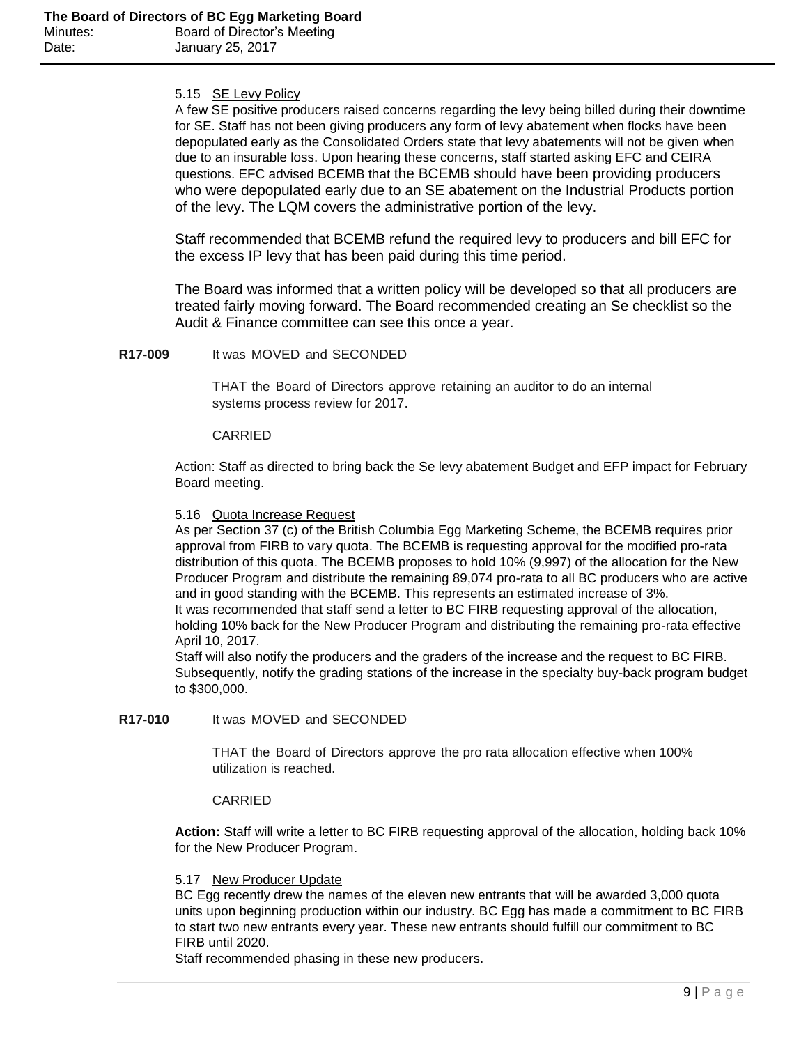## 5.15 SE Levy Policy

A few SE positive producers raised concerns regarding the levy being billed during their downtime for SE. Staff has not been giving producers any form of levy abatement when flocks have been depopulated early as the Consolidated Orders state that levy abatements will not be given when due to an insurable loss. Upon hearing these concerns, staff started asking EFC and CEIRA questions. EFC advised BCEMB that the BCEMB should have been providing producers who were depopulated early due to an SE abatement on the Industrial Products portion of the levy. The LQM covers the administrative portion of the levy.

Staff recommended that BCEMB refund the required levy to producers and bill EFC for the excess IP levy that has been paid during this time period.

The Board was informed that a written policy will be developed so that all producers are treated fairly moving forward. The Board recommended creating an Se checklist so the Audit & Finance committee can see this once a year.

**R17-009** It was MOVED and SECONDED

THAT the Board of Directors approve retaining an auditor to do an internal systems process review for 2017.

#### CARRIED

Action: Staff as directed to bring back the Se levy abatement Budget and EFP impact for February Board meeting.

### 5.16 Quota Increase Request

As per Section 37 (c) of the British Columbia Egg Marketing Scheme, the BCEMB requires prior approval from FIRB to vary quota. The BCEMB is requesting approval for the modified pro-rata distribution of this quota. The BCEMB proposes to hold 10% (9,997) of the allocation for the New Producer Program and distribute the remaining 89,074 pro-rata to all BC producers who are active and in good standing with the BCEMB. This represents an estimated increase of 3%. It was recommended that staff send a letter to BC FIRB requesting approval of the allocation, holding 10% back for the New Producer Program and distributing the remaining pro-rata effective April 10, 2017.

Staff will also notify the producers and the graders of the increase and the request to BC FIRB. Subsequently, notify the grading stations of the increase in the specialty buy-back program budget to \$300,000.

### **R17-010** It was MOVED and SECONDED

THAT the Board of Directors approve the pro rata allocation effective when 100% utilization is reached.

#### CARRIED

**Action:** Staff will write a letter to BC FIRB requesting approval of the allocation, holding back 10% for the New Producer Program.

#### 5.17 New Producer Update

BC Egg recently drew the names of the eleven new entrants that will be awarded 3,000 quota units upon beginning production within our industry. BC Egg has made a commitment to BC FIRB to start two new entrants every year. These new entrants should fulfill our commitment to BC FIRB until 2020.

Staff recommended phasing in these new producers.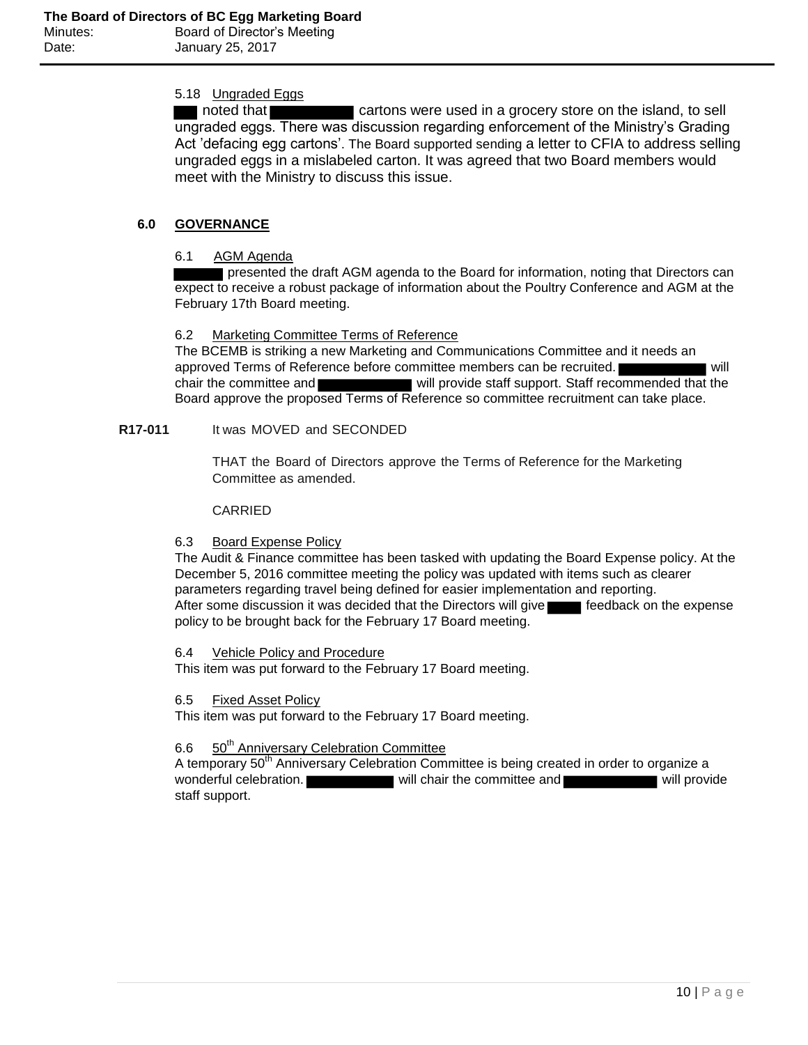# 5.18 Ungraded Eggs

noted that **cartons** were used in a grocery store on the island, to sell ungraded eggs. There was discussion regarding enforcement of the Ministry's Grading Act 'defacing egg cartons'. The Board supported sending a letter to CFIA to address selling ungraded eggs in a mislabeled carton. It was agreed that two Board members would meet with the Ministry to discuss this issue.

# **6.0 GOVERNANCE**

# 6.1 AGM Agenda

presented the draft AGM agenda to the Board for information, noting that Directors can expect to receive a robust package of information about the Poultry Conference and AGM at the February 17th Board meeting.

# 6.2 Marketing Committee Terms of Reference

The BCEMB is striking a new Marketing and Communications Committee and it needs an approved Terms of Reference before committee members can be recruited. Will chair the committee and will provide staff support. Staff recommended that the Board approve the proposed Terms of Reference so committee recruitment can take place.

# **R17-011** It was MOVED and SECONDED

THAT the Board of Directors approve the Terms of Reference for the Marketing Committee as amended.

## **CARRIED**

# 6.3 Board Expense Policy

The Audit & Finance committee has been tasked with updating the Board Expense policy. At the December 5, 2016 committee meeting the policy was updated with items such as clearer parameters regarding travel being defined for easier implementation and reporting. After some discussion it was decided that the Directors will give seedback on the expense policy to be brought back for the February 17 Board meeting.

# 6.4 Vehicle Policy and Procedure

This item was put forward to the February 17 Board meeting.

# 6.5 Fixed Asset Policy

This item was put forward to the February 17 Board meeting.

# 6.6 50<sup>th</sup> Anniversary Celebration Committee

A temporary  $50<sup>th</sup>$  Anniversary Celebration Committee is being created in order to organize a wonderful celebration. will chair the committee and will provide staff support.